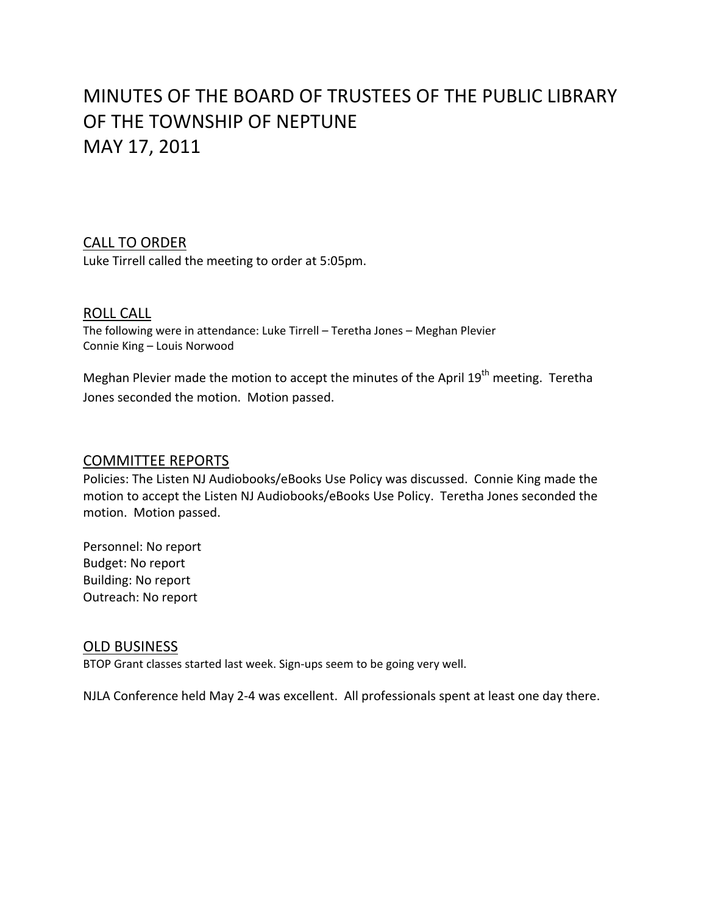# MINUTES OF THE BOARD OF TRUSTEES OF THE PUBLIC LIBRARY OF THE TOWNSHIP OF NEPTUNE MAY 17, 2011

## CALL TO ORDER

Luke Tirrell called the meeting to order at 5:05pm.

### ROLL CALL

The following were in attendance: Luke Tirrell – Teretha Jones – Meghan Plevier Connie King – Louis Norwood

Meghan Plevier made the motion to accept the minutes of the April 19<sup>th</sup> meeting. Teretha Jones seconded the motion. Motion passed.

#### COMMITTEE REPORTS

Policies: The Listen NJ Audiobooks/eBooks Use Policy was discussed. Connie King made the motion to accept the Listen NJ Audiobooks/eBooks Use Policy. Teretha Jones seconded the motion. Motion passed.

Personnel: No report Budget: No report Building: No report Outreach: No report

#### OLD BUSINESS

BTOP Grant classes started last week. Sign‐ups seem to be going very well.

NJLA Conference held May 2‐4 was excellent. All professionals spent at least one day there.